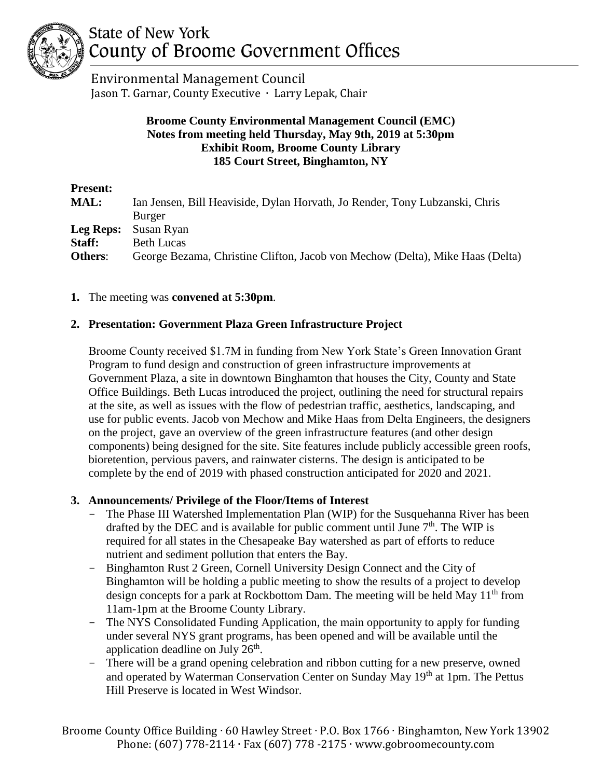

# State of New York County of Broome Government Offices

 Environmental Management Council Jason T. Garnar, County Executive ∙ Larry Lepak, Chair

# **Broome County Environmental Management Council (EMC) Notes from meeting held Thursday, May 9th, 2019 at 5:30pm Exhibit Room, Broome County Library 185 Court Street, Binghamton, NY**

| <b>Present:</b> |                                                                               |
|-----------------|-------------------------------------------------------------------------------|
| <b>MAL:</b>     | Ian Jensen, Bill Heaviside, Dylan Horvath, Jo Render, Tony Lubzanski, Chris   |
|                 | <b>Burger</b>                                                                 |
| Leg Reps:       | Susan Ryan                                                                    |
| Staff:          | <b>Beth Lucas</b>                                                             |
| <b>Others:</b>  | George Bezama, Christine Clifton, Jacob von Mechow (Delta), Mike Haas (Delta) |

## **1.** The meeting was **convened at 5:30pm**.

## **2. Presentation: Government Plaza Green Infrastructure Project**

Broome County received \$1.7M in funding from New York State's Green Innovation Grant Program to fund design and construction of green infrastructure improvements at Government Plaza, a site in downtown Binghamton that houses the City, County and State Office Buildings. Beth Lucas introduced the project, outlining the need for structural repairs at the site, as well as issues with the flow of pedestrian traffic, aesthetics, landscaping, and use for public events. Jacob von Mechow and Mike Haas from Delta Engineers, the designers on the project, gave an overview of the green infrastructure features (and other design components) being designed for the site. Site features include publicly accessible green roofs, bioretention, pervious pavers, and rainwater cisterns. The design is anticipated to be complete by the end of 2019 with phased construction anticipated for 2020 and 2021.

## **3. Announcements/ Privilege of the Floor/Items of Interest**

- The Phase III Watershed Implementation Plan (WIP) for the Susquehanna River has been drafted by the DEC and is available for public comment until June  $7<sup>th</sup>$ . The WIP is required for all states in the Chesapeake Bay watershed as part of efforts to reduce nutrient and sediment pollution that enters the Bay.
- Binghamton Rust 2 Green, Cornell University Design Connect and the City of Binghamton will be holding a public meeting to show the results of a project to develop design concepts for a park at Rockbottom Dam. The meeting will be held May  $11<sup>th</sup>$  from 11am-1pm at the Broome County Library.
- The NYS Consolidated Funding Application, the main opportunity to apply for funding under several NYS grant programs, has been opened and will be available until the application deadline on July  $26<sup>th</sup>$ .
- There will be a grand opening celebration and ribbon cutting for a new preserve, owned and operated by Waterman Conservation Center on Sunday May 19<sup>th</sup> at 1pm. The Pettus Hill Preserve is located in West Windsor.

Broome County Office Building ∙ 60 Hawley Street ∙ P.O. Box 1766 ∙ Binghamton, New York 13902 Phone: (607) 778-2114 ∙ Fax (607) 778 -2175 ∙ www.gobroomecounty.com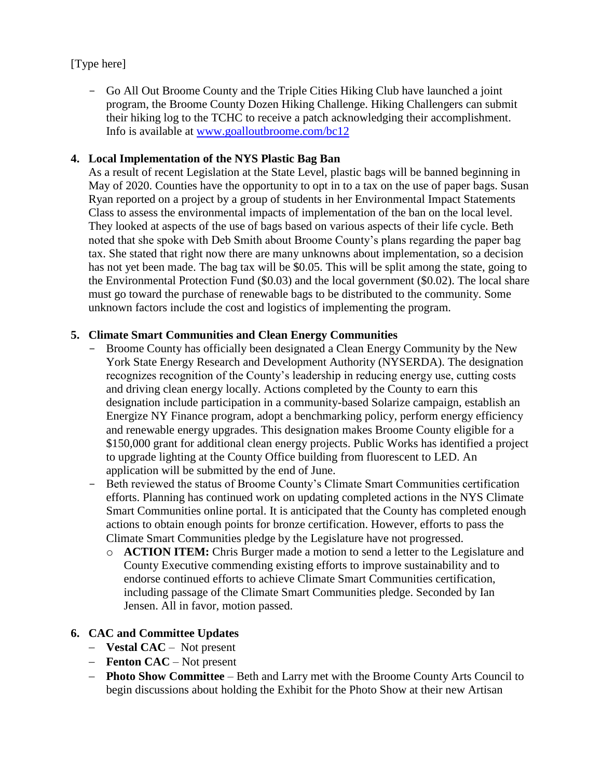# [Type here]

- Go All Out Broome County and the Triple Cities Hiking Club have launched a joint program, the Broome County Dozen Hiking Challenge. Hiking Challengers can submit their hiking log to the TCHC to receive a patch acknowledging their accomplishment. Info is available at [www.goalloutbroome.com/bc12](http://www.goalloutbroome.com/bc12)

## **4. Local Implementation of the NYS Plastic Bag Ban**

As a result of recent Legislation at the State Level, plastic bags will be banned beginning in May of 2020. Counties have the opportunity to opt in to a tax on the use of paper bags. Susan Ryan reported on a project by a group of students in her Environmental Impact Statements Class to assess the environmental impacts of implementation of the ban on the local level. They looked at aspects of the use of bags based on various aspects of their life cycle. Beth noted that she spoke with Deb Smith about Broome County's plans regarding the paper bag tax. She stated that right now there are many unknowns about implementation, so a decision has not yet been made. The bag tax will be \$0.05. This will be split among the state, going to the Environmental Protection Fund (\$0.03) and the local government (\$0.02). The local share must go toward the purchase of renewable bags to be distributed to the community. Some unknown factors include the cost and logistics of implementing the program.

# **5. Climate Smart Communities and Clean Energy Communities**

- Broome County has officially been designated a Clean Energy Community by the New York State Energy Research and Development Authority (NYSERDA). The designation recognizes recognition of the County's leadership in reducing energy use, cutting costs and driving clean energy locally. Actions completed by the County to earn this designation include participation in a community-based Solarize campaign, establish an Energize NY Finance program, adopt a benchmarking policy, perform energy efficiency and renewable energy upgrades. This designation makes Broome County eligible for a \$150,000 grant for additional clean energy projects. Public Works has identified a project to upgrade lighting at the County Office building from fluorescent to LED. An application will be submitted by the end of June.
- Beth reviewed the status of Broome County's Climate Smart Communities certification efforts. Planning has continued work on updating completed actions in the NYS Climate Smart Communities online portal. It is anticipated that the County has completed enough actions to obtain enough points for bronze certification. However, efforts to pass the Climate Smart Communities pledge by the Legislature have not progressed.
	- o **ACTION ITEM:** Chris Burger made a motion to send a letter to the Legislature and County Executive commending existing efforts to improve sustainability and to endorse continued efforts to achieve Climate Smart Communities certification, including passage of the Climate Smart Communities pledge. Seconded by Ian Jensen. All in favor, motion passed.

## **6. CAC and Committee Updates**

- − **Vestal CAC** Not present
- − **Fenton CAC**  Not present
- − **Photo Show Committee** Beth and Larry met with the Broome County Arts Council to begin discussions about holding the Exhibit for the Photo Show at their new Artisan